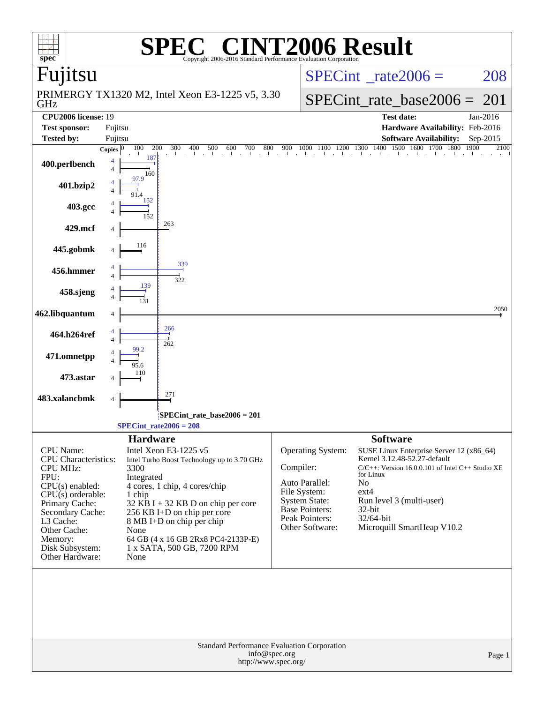| $spec^*$                                       | $\bigcap_{\mathbb{R}} \mathbb{R}$<br>Copyright 2006-2016 Standard Performance Evaluation Corporation | <b>NT2006 Result</b>              |                                                                                                                                                                                                                                                                                                                                                                                                               |
|------------------------------------------------|------------------------------------------------------------------------------------------------------|-----------------------------------|---------------------------------------------------------------------------------------------------------------------------------------------------------------------------------------------------------------------------------------------------------------------------------------------------------------------------------------------------------------------------------------------------------------|
| Fujitsu                                        |                                                                                                      |                                   | $SPECint^{\circ}$ rate 2006 =<br>208                                                                                                                                                                                                                                                                                                                                                                          |
| GHz                                            | PRIMERGY TX1320 M2, Intel Xeon E3-1225 v5, 3.30                                                      |                                   | $SPECint_rate\_base2006 =$<br>201                                                                                                                                                                                                                                                                                                                                                                             |
| CPU2006 license: 19                            |                                                                                                      |                                   | <b>Test date:</b><br>Jan-2016                                                                                                                                                                                                                                                                                                                                                                                 |
| <b>Test sponsor:</b>                           | Fujitsu                                                                                              |                                   | Hardware Availability: Feb-2016                                                                                                                                                                                                                                                                                                                                                                               |
| <b>Tested by:</b>                              | Fujitsu                                                                                              |                                   | <b>Software Availability:</b><br>$Sep-2015$                                                                                                                                                                                                                                                                                                                                                                   |
|                                                | 100<br>200<br>Copies $ 0 $<br>187                                                                    |                                   | $\frac{300}{1} \quad \frac{400}{1} \quad \frac{500}{1} \quad \frac{600}{1} \quad \frac{700}{1} \quad \frac{800}{1} \quad \frac{900}{1} \quad \frac{1000}{1} \quad \frac{1100}{1} \quad \frac{1200}{1} \quad \frac{1300}{1} \quad \frac{1400}{1} \quad \frac{1500}{1} \quad \frac{1600}{1} \quad \frac{1700}{1} \quad \frac{1800}{1} \quad \frac{1900}{1} \quad \frac{1900}{1} \quad \frac{1900}{1} \$<br>2100 |
| 400.perlbench                                  | 160<br>97.9                                                                                          |                                   |                                                                                                                                                                                                                                                                                                                                                                                                               |
| 401.bzip2                                      |                                                                                                      |                                   |                                                                                                                                                                                                                                                                                                                                                                                                               |
| 403.gcc                                        | 152<br>152                                                                                           |                                   |                                                                                                                                                                                                                                                                                                                                                                                                               |
| 429.mcf                                        | 263                                                                                                  |                                   |                                                                                                                                                                                                                                                                                                                                                                                                               |
| 445.gobmk                                      | 116                                                                                                  |                                   |                                                                                                                                                                                                                                                                                                                                                                                                               |
| 456.hmmer                                      | 339<br>322                                                                                           |                                   |                                                                                                                                                                                                                                                                                                                                                                                                               |
| 458.sjeng                                      |                                                                                                      |                                   |                                                                                                                                                                                                                                                                                                                                                                                                               |
| 462.libquantum                                 |                                                                                                      |                                   | 2050                                                                                                                                                                                                                                                                                                                                                                                                          |
| 464.h264ref                                    | 266<br>262                                                                                           |                                   |                                                                                                                                                                                                                                                                                                                                                                                                               |
| 471.omnetpp                                    |                                                                                                      |                                   |                                                                                                                                                                                                                                                                                                                                                                                                               |
| 473.astar                                      |                                                                                                      |                                   |                                                                                                                                                                                                                                                                                                                                                                                                               |
| 483.xalancbmk                                  | 271<br>4                                                                                             |                                   |                                                                                                                                                                                                                                                                                                                                                                                                               |
|                                                | SPECint_rate_base2006 = 201<br>$SPECTnt_rate2006 = 208$                                              |                                   |                                                                                                                                                                                                                                                                                                                                                                                                               |
|                                                | <b>Hardware</b>                                                                                      |                                   | <b>Software</b>                                                                                                                                                                                                                                                                                                                                                                                               |
| CPU Name:                                      | Intel Xeon E3-1225 v5                                                                                | Operating System:                 | SUSE Linux Enterprise Server 12 (x86_64)                                                                                                                                                                                                                                                                                                                                                                      |
| <b>CPU</b> Characteristics:<br><b>CPU MHz:</b> | Intel Turbo Boost Technology up to 3.70 GHz<br>3300                                                  | Compiler:                         | Kernel 3.12.48-52.27-default<br>$C/C++$ : Version 16.0.0.101 of Intel $C++$ Studio XE                                                                                                                                                                                                                                                                                                                         |
| FPU:                                           | Integrated                                                                                           |                                   | for Linux                                                                                                                                                                                                                                                                                                                                                                                                     |
| $CPU(s)$ enabled:                              | 4 cores, 1 chip, 4 cores/chip                                                                        | Auto Parallel:<br>File System:    | No<br>$ext{4}$                                                                                                                                                                                                                                                                                                                                                                                                |
| $CPU(s)$ orderable:<br>Primary Cache:          | 1 chip<br>$32$ KB I + 32 KB D on chip per core                                                       | <b>System State:</b>              | Run level 3 (multi-user)                                                                                                                                                                                                                                                                                                                                                                                      |
| Secondary Cache:                               | 256 KB I+D on chip per core                                                                          | Base Pointers:                    | 32-bit                                                                                                                                                                                                                                                                                                                                                                                                        |
| L3 Cache:                                      | 8 MB I+D on chip per chip                                                                            | Peak Pointers:<br>Other Software: | 32/64-bit<br>Microquill SmartHeap V10.2                                                                                                                                                                                                                                                                                                                                                                       |
| Other Cache:<br>Memory:                        | None<br>64 GB (4 x 16 GB 2Rx8 PC4-2133P-E)                                                           |                                   |                                                                                                                                                                                                                                                                                                                                                                                                               |
| Disk Subsystem:                                | 1 x SATA, 500 GB, 7200 RPM                                                                           |                                   |                                                                                                                                                                                                                                                                                                                                                                                                               |
| Other Hardware:                                | None                                                                                                 |                                   |                                                                                                                                                                                                                                                                                                                                                                                                               |
|                                                |                                                                                                      |                                   |                                                                                                                                                                                                                                                                                                                                                                                                               |
|                                                | Standard Performance Evaluation Corporation<br>info@spec.org<br>http://www.spec.org/                 |                                   | Page 1                                                                                                                                                                                                                                                                                                                                                                                                        |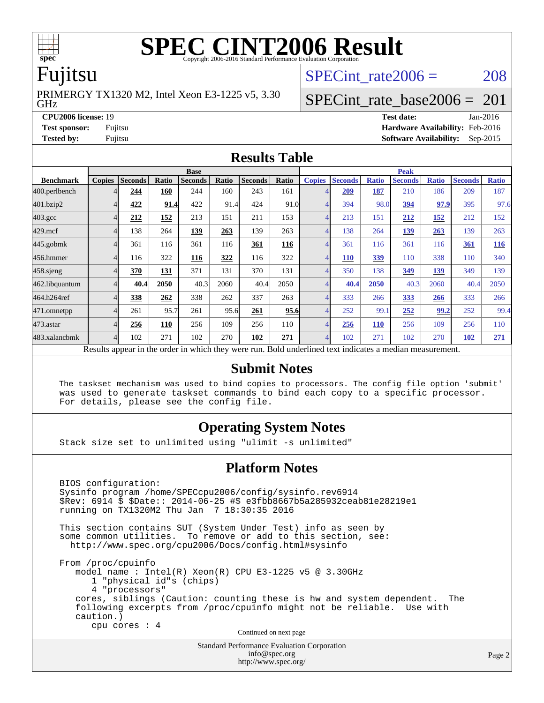

# **[SPEC CINT2006 Result](http://www.spec.org/auto/cpu2006/Docs/result-fields.html#SPECCINT2006Result)**

### Fujitsu

GHz PRIMERGY TX1320 M2, Intel Xeon E3-1225 v5, 3.30 SPECint rate $2006 = 208$ 

### [SPECint\\_rate\\_base2006 =](http://www.spec.org/auto/cpu2006/Docs/result-fields.html#SPECintratebase2006) 201

**[CPU2006 license:](http://www.spec.org/auto/cpu2006/Docs/result-fields.html#CPU2006license)** 19 **[Test date:](http://www.spec.org/auto/cpu2006/Docs/result-fields.html#Testdate)** Jan-2016 **[Test sponsor:](http://www.spec.org/auto/cpu2006/Docs/result-fields.html#Testsponsor)** Fujitsu **[Hardware Availability:](http://www.spec.org/auto/cpu2006/Docs/result-fields.html#HardwareAvailability)** Feb-2016 **[Tested by:](http://www.spec.org/auto/cpu2006/Docs/result-fields.html#Testedby)** Fujitsu **[Software Availability:](http://www.spec.org/auto/cpu2006/Docs/result-fields.html#SoftwareAvailability)** Sep-2015

### **[Results Table](http://www.spec.org/auto/cpu2006/Docs/result-fields.html#ResultsTable)**

|                                                                                                          | <b>Base</b>   |                |              |                |       |                | <b>Peak</b> |               |                |              |                |              |                |              |
|----------------------------------------------------------------------------------------------------------|---------------|----------------|--------------|----------------|-------|----------------|-------------|---------------|----------------|--------------|----------------|--------------|----------------|--------------|
| <b>Benchmark</b>                                                                                         | <b>Copies</b> | <b>Seconds</b> | <b>Ratio</b> | <b>Seconds</b> | Ratio | <b>Seconds</b> | Ratio       | <b>Copies</b> | <b>Seconds</b> | <b>Ratio</b> | <b>Seconds</b> | <b>Ratio</b> | <b>Seconds</b> | <b>Ratio</b> |
| 400.perlbench                                                                                            | 4             | 244            | 160          | 244            | 160   | 243            | 161         |               | 209            | 187          | 210            | 186          | 209            | 187          |
| 401.bzip2                                                                                                | 4             | 422            | 91.4         | 422            | 91.4  | 424            | 91.0        | 4             | 394            | 98.0         | 394            | 97.9         | 395            | 97.6         |
| $403.\mathrm{gcc}$                                                                                       | 4             | 212            | 152          | 213            | 151   | 211            | 153         | 4             | 213            | 151          | 212            | <u>152</u>   | 212            | 152          |
| $429$ .mcf                                                                                               | 4             | 138            | 264          | 139            | 263   | 139            | 263         | 4             | 138            | 264          | 139            | 263          | 139            | 263          |
| $445$ .gobm $k$                                                                                          | 4             | 361            | 116          | 361            | 116   | 361            | 116         | 4             | 361            | 116          | 361            | 116          | 361            | 116          |
| 456.hmmer                                                                                                | 4             | 116            | 322          | 116            | 322   | 116            | 322         | 4             | <b>110</b>     | <u>339</u>   | 110            | 338          | 110            | 340          |
| $458$ .sjeng                                                                                             | 4             | 370            | 131          | 371            | 131   | 370            | 131         | 4             | 350            | 138          | 349            | 139          | 349            | 139          |
| 462.libquantum                                                                                           | 4             | 40.4           | 2050         | 40.3           | 2060  | 40.4           | 2050        | 4             | 40.4           | 2050         | 40.3           | 2060         | 40.4           | 2050         |
| 464.h264ref                                                                                              | 4             | 338            | 262          | 338            | 262   | 337            | 263         | 4             | 333            | 266          | 333            | 266          | 333            | 266          |
| 471.omnetpp                                                                                              | 4             | 261            | 95.7         | 261            | 95.6  | 261            | 95.6        | 4             | 252            | 99.1         | 252            | 99.2         | 252            | 99.4         |
| $473$ . astar                                                                                            | 4             | 256            | 110          | 256            | 109   | 256            | 110         | 4             | 256            | <b>110</b>   | 256            | 109          | 256            | 110          |
| 483.xalancbmk                                                                                            | 4             | 102            | 271          | 102            | 270   | 102            | 271         | 4             | 102            | 271          | 102            | 270          | 102            | 271          |
| Results appear in the order in which they were run. Bold underlined text indicates a median measurement. |               |                |              |                |       |                |             |               |                |              |                |              |                |              |

### **[Submit Notes](http://www.spec.org/auto/cpu2006/Docs/result-fields.html#SubmitNotes)**

 The taskset mechanism was used to bind copies to processors. The config file option 'submit' was used to generate taskset commands to bind each copy to a specific processor. For details, please see the config file.

### **[Operating System Notes](http://www.spec.org/auto/cpu2006/Docs/result-fields.html#OperatingSystemNotes)**

Stack size set to unlimited using "ulimit -s unlimited"

### **[Platform Notes](http://www.spec.org/auto/cpu2006/Docs/result-fields.html#PlatformNotes)**

 BIOS configuration: Sysinfo program /home/SPECcpu2006/config/sysinfo.rev6914 \$Rev: 6914 \$ \$Date:: 2014-06-25 #\$ e3fbb8667b5a285932ceab81e28219e1 running on TX1320M2 Thu Jan 7 18:30:35 2016 This section contains SUT (System Under Test) info as seen by some common utilities. To remove or add to this section, see: <http://www.spec.org/cpu2006/Docs/config.html#sysinfo> From /proc/cpuinfo model name : Intel(R) Xeon(R) CPU E3-1225 v5 @ 3.30GHz 1 "physical id"s (chips) 4 "processors" cores, siblings (Caution: counting these is hw and system dependent. The following excerpts from /proc/cpuinfo might not be reliable. Use with caution.) cpu cores : 4 Continued on next page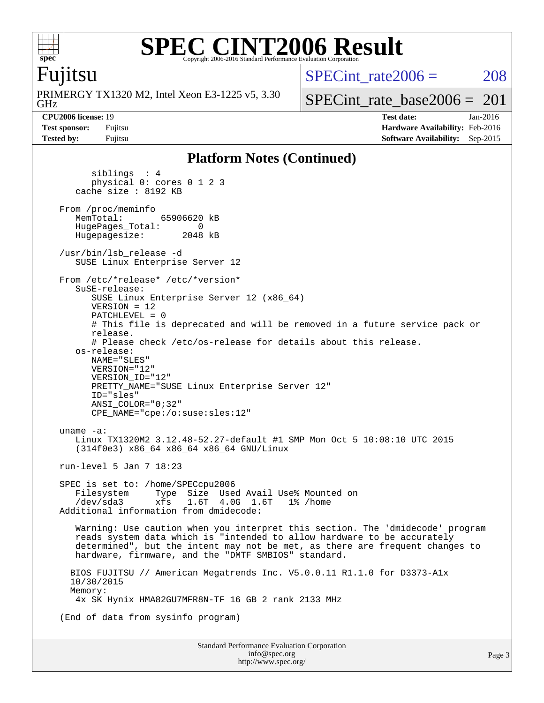

### **[SPEC CINT2006 Result](http://www.spec.org/auto/cpu2006/Docs/result-fields.html#SPECCINT2006Result)** Copyright 2006-2016 Standard Performance Evaluation Corporation

### Fujitsu

GHz PRIMERGY TX1320 M2, Intel Xeon E3-1225 v5, 3.30 SPECint rate $2006 = 208$ 

[SPECint\\_rate\\_base2006 =](http://www.spec.org/auto/cpu2006/Docs/result-fields.html#SPECintratebase2006)  $201$ 

**[CPU2006 license:](http://www.spec.org/auto/cpu2006/Docs/result-fields.html#CPU2006license)** 19 **[Test date:](http://www.spec.org/auto/cpu2006/Docs/result-fields.html#Testdate)** Jan-2016 **[Test sponsor:](http://www.spec.org/auto/cpu2006/Docs/result-fields.html#Testsponsor)** Fujitsu **[Hardware Availability:](http://www.spec.org/auto/cpu2006/Docs/result-fields.html#HardwareAvailability)** Feb-2016 **[Tested by:](http://www.spec.org/auto/cpu2006/Docs/result-fields.html#Testedby)** Fujitsu **[Software Availability:](http://www.spec.org/auto/cpu2006/Docs/result-fields.html#SoftwareAvailability)** Sep-2015

### **[Platform Notes \(Continued\)](http://www.spec.org/auto/cpu2006/Docs/result-fields.html#PlatformNotes)**

 siblings : 4 physical 0: cores 0 1 2 3 cache size : 8192 KB From /proc/meminfo<br>MemTotal: 65906620 kB HugePages\_Total: 0<br>Hugepagesize: 2048 kB Hugepagesize: /usr/bin/lsb\_release -d SUSE Linux Enterprise Server 12 From /etc/\*release\* /etc/\*version\* SuSE-release: SUSE Linux Enterprise Server 12 (x86\_64) VERSION = 12 PATCHLEVEL = 0 # This file is deprecated and will be removed in a future service pack or release. # Please check /etc/os-release for details about this release. os-release: NAME="SLES" VERSION="12" VERSION\_ID="12" PRETTY NAME="SUSE Linux Enterprise Server 12" ID="sles" ANSI\_COLOR="0;32" CPE\_NAME="cpe:/o:suse:sles:12" uname -a: Linux TX1320M2 3.12.48-52.27-default #1 SMP Mon Oct 5 10:08:10 UTC 2015 (314f0e3) x86\_64 x86\_64 x86\_64 GNU/Linux run-level 5 Jan 7 18:23 SPEC is set to: /home/SPECcpu2006 Filesystem Type Size Used Avail Use% Mounted on<br>
/dev/sda3 xfs 1.6T 4.0G 1.6T 1% /home 1.6T 4.0G 1.6T Additional information from dmidecode: Warning: Use caution when you interpret this section. The 'dmidecode' program reads system data which is "intended to allow hardware to be accurately determined", but the intent may not be met, as there are frequent changes to hardware, firmware, and the "DMTF SMBIOS" standard. BIOS FUJITSU // American Megatrends Inc. V5.0.0.11 R1.1.0 for D3373-A1x 10/30/2015 Memory: 4x SK Hynix HMA82GU7MFR8N-TF 16 GB 2 rank 2133 MHz (End of data from sysinfo program)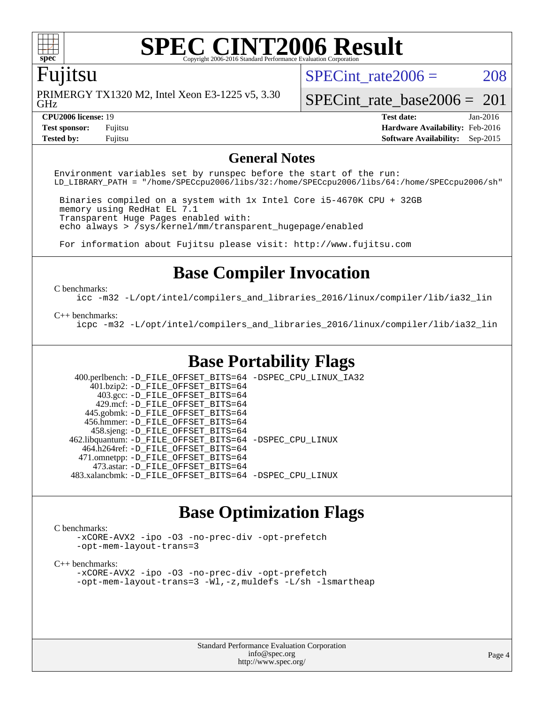

# **[SPEC CINT2006 Result](http://www.spec.org/auto/cpu2006/Docs/result-fields.html#SPECCINT2006Result)**

### Fujitsu

GHz PRIMERGY TX1320 M2, Intel Xeon E3-1225 v5, 3.30 SPECint rate $2006 = 208$ 

[SPECint\\_rate\\_base2006 =](http://www.spec.org/auto/cpu2006/Docs/result-fields.html#SPECintratebase2006)  $201$ 

**[Tested by:](http://www.spec.org/auto/cpu2006/Docs/result-fields.html#Testedby)** Fujitsu **[Software Availability:](http://www.spec.org/auto/cpu2006/Docs/result-fields.html#SoftwareAvailability)** Sep-2015

**[CPU2006 license:](http://www.spec.org/auto/cpu2006/Docs/result-fields.html#CPU2006license)** 19 **[Test date:](http://www.spec.org/auto/cpu2006/Docs/result-fields.html#Testdate)** Jan-2016 **[Test sponsor:](http://www.spec.org/auto/cpu2006/Docs/result-fields.html#Testsponsor)** Fujitsu **[Hardware Availability:](http://www.spec.org/auto/cpu2006/Docs/result-fields.html#HardwareAvailability)** Feb-2016

### **[General Notes](http://www.spec.org/auto/cpu2006/Docs/result-fields.html#GeneralNotes)**

Environment variables set by runspec before the start of the run: LD\_LIBRARY\_PATH = "/home/SPECcpu2006/libs/32:/home/SPECcpu2006/libs/64:/home/SPECcpu2006/sh"

 Binaries compiled on a system with 1x Intel Core i5-4670K CPU + 32GB memory using RedHat EL 7.1 Transparent Huge Pages enabled with: echo always > /sys/kernel/mm/transparent\_hugepage/enabled

For information about Fujitsu please visit: <http://www.fujitsu.com>

### **[Base Compiler Invocation](http://www.spec.org/auto/cpu2006/Docs/result-fields.html#BaseCompilerInvocation)**

#### [C benchmarks](http://www.spec.org/auto/cpu2006/Docs/result-fields.html#Cbenchmarks):

[icc -m32 -L/opt/intel/compilers\\_and\\_libraries\\_2016/linux/compiler/lib/ia32\\_lin](http://www.spec.org/cpu2006/results/res2016q1/cpu2006-20160125-38910.flags.html#user_CCbase_intel_icc_e10256ba5924b668798078a321b0cb3f)

#### [C++ benchmarks:](http://www.spec.org/auto/cpu2006/Docs/result-fields.html#CXXbenchmarks)

[icpc -m32 -L/opt/intel/compilers\\_and\\_libraries\\_2016/linux/compiler/lib/ia32\\_lin](http://www.spec.org/cpu2006/results/res2016q1/cpu2006-20160125-38910.flags.html#user_CXXbase_intel_icpc_b4f50a394bdb4597aa5879c16bc3f5c5)

### **[Base Portability Flags](http://www.spec.org/auto/cpu2006/Docs/result-fields.html#BasePortabilityFlags)**

 400.perlbench: [-D\\_FILE\\_OFFSET\\_BITS=64](http://www.spec.org/cpu2006/results/res2016q1/cpu2006-20160125-38910.flags.html#user_basePORTABILITY400_perlbench_file_offset_bits_64_438cf9856305ebd76870a2c6dc2689ab) [-DSPEC\\_CPU\\_LINUX\\_IA32](http://www.spec.org/cpu2006/results/res2016q1/cpu2006-20160125-38910.flags.html#b400.perlbench_baseCPORTABILITY_DSPEC_CPU_LINUX_IA32) 401.bzip2: [-D\\_FILE\\_OFFSET\\_BITS=64](http://www.spec.org/cpu2006/results/res2016q1/cpu2006-20160125-38910.flags.html#user_basePORTABILITY401_bzip2_file_offset_bits_64_438cf9856305ebd76870a2c6dc2689ab) 403.gcc: [-D\\_FILE\\_OFFSET\\_BITS=64](http://www.spec.org/cpu2006/results/res2016q1/cpu2006-20160125-38910.flags.html#user_basePORTABILITY403_gcc_file_offset_bits_64_438cf9856305ebd76870a2c6dc2689ab) 429.mcf: [-D\\_FILE\\_OFFSET\\_BITS=64](http://www.spec.org/cpu2006/results/res2016q1/cpu2006-20160125-38910.flags.html#user_basePORTABILITY429_mcf_file_offset_bits_64_438cf9856305ebd76870a2c6dc2689ab) 445.gobmk: [-D\\_FILE\\_OFFSET\\_BITS=64](http://www.spec.org/cpu2006/results/res2016q1/cpu2006-20160125-38910.flags.html#user_basePORTABILITY445_gobmk_file_offset_bits_64_438cf9856305ebd76870a2c6dc2689ab) 456.hmmer: [-D\\_FILE\\_OFFSET\\_BITS=64](http://www.spec.org/cpu2006/results/res2016q1/cpu2006-20160125-38910.flags.html#user_basePORTABILITY456_hmmer_file_offset_bits_64_438cf9856305ebd76870a2c6dc2689ab) 458.sjeng: [-D\\_FILE\\_OFFSET\\_BITS=64](http://www.spec.org/cpu2006/results/res2016q1/cpu2006-20160125-38910.flags.html#user_basePORTABILITY458_sjeng_file_offset_bits_64_438cf9856305ebd76870a2c6dc2689ab) 462.libquantum: [-D\\_FILE\\_OFFSET\\_BITS=64](http://www.spec.org/cpu2006/results/res2016q1/cpu2006-20160125-38910.flags.html#user_basePORTABILITY462_libquantum_file_offset_bits_64_438cf9856305ebd76870a2c6dc2689ab) [-DSPEC\\_CPU\\_LINUX](http://www.spec.org/cpu2006/results/res2016q1/cpu2006-20160125-38910.flags.html#b462.libquantum_baseCPORTABILITY_DSPEC_CPU_LINUX) 464.h264ref: [-D\\_FILE\\_OFFSET\\_BITS=64](http://www.spec.org/cpu2006/results/res2016q1/cpu2006-20160125-38910.flags.html#user_basePORTABILITY464_h264ref_file_offset_bits_64_438cf9856305ebd76870a2c6dc2689ab) 471.omnetpp: [-D\\_FILE\\_OFFSET\\_BITS=64](http://www.spec.org/cpu2006/results/res2016q1/cpu2006-20160125-38910.flags.html#user_basePORTABILITY471_omnetpp_file_offset_bits_64_438cf9856305ebd76870a2c6dc2689ab) 473.astar: [-D\\_FILE\\_OFFSET\\_BITS=64](http://www.spec.org/cpu2006/results/res2016q1/cpu2006-20160125-38910.flags.html#user_basePORTABILITY473_astar_file_offset_bits_64_438cf9856305ebd76870a2c6dc2689ab) 483.xalancbmk: [-D\\_FILE\\_OFFSET\\_BITS=64](http://www.spec.org/cpu2006/results/res2016q1/cpu2006-20160125-38910.flags.html#user_basePORTABILITY483_xalancbmk_file_offset_bits_64_438cf9856305ebd76870a2c6dc2689ab) [-DSPEC\\_CPU\\_LINUX](http://www.spec.org/cpu2006/results/res2016q1/cpu2006-20160125-38910.flags.html#b483.xalancbmk_baseCXXPORTABILITY_DSPEC_CPU_LINUX)

### **[Base Optimization Flags](http://www.spec.org/auto/cpu2006/Docs/result-fields.html#BaseOptimizationFlags)**

### [C benchmarks](http://www.spec.org/auto/cpu2006/Docs/result-fields.html#Cbenchmarks):

[-xCORE-AVX2](http://www.spec.org/cpu2006/results/res2016q1/cpu2006-20160125-38910.flags.html#user_CCbase_f-xAVX2_5f5fc0cbe2c9f62c816d3e45806c70d7) [-ipo](http://www.spec.org/cpu2006/results/res2016q1/cpu2006-20160125-38910.flags.html#user_CCbase_f-ipo) [-O3](http://www.spec.org/cpu2006/results/res2016q1/cpu2006-20160125-38910.flags.html#user_CCbase_f-O3) [-no-prec-div](http://www.spec.org/cpu2006/results/res2016q1/cpu2006-20160125-38910.flags.html#user_CCbase_f-no-prec-div) [-opt-prefetch](http://www.spec.org/cpu2006/results/res2016q1/cpu2006-20160125-38910.flags.html#user_CCbase_f-opt-prefetch) [-opt-mem-layout-trans=3](http://www.spec.org/cpu2006/results/res2016q1/cpu2006-20160125-38910.flags.html#user_CCbase_f-opt-mem-layout-trans_a7b82ad4bd7abf52556d4961a2ae94d5)

#### [C++ benchmarks:](http://www.spec.org/auto/cpu2006/Docs/result-fields.html#CXXbenchmarks)

[-xCORE-AVX2](http://www.spec.org/cpu2006/results/res2016q1/cpu2006-20160125-38910.flags.html#user_CXXbase_f-xAVX2_5f5fc0cbe2c9f62c816d3e45806c70d7) [-ipo](http://www.spec.org/cpu2006/results/res2016q1/cpu2006-20160125-38910.flags.html#user_CXXbase_f-ipo) [-O3](http://www.spec.org/cpu2006/results/res2016q1/cpu2006-20160125-38910.flags.html#user_CXXbase_f-O3) [-no-prec-div](http://www.spec.org/cpu2006/results/res2016q1/cpu2006-20160125-38910.flags.html#user_CXXbase_f-no-prec-div) [-opt-prefetch](http://www.spec.org/cpu2006/results/res2016q1/cpu2006-20160125-38910.flags.html#user_CXXbase_f-opt-prefetch) [-opt-mem-layout-trans=3](http://www.spec.org/cpu2006/results/res2016q1/cpu2006-20160125-38910.flags.html#user_CXXbase_f-opt-mem-layout-trans_a7b82ad4bd7abf52556d4961a2ae94d5) [-Wl,-z,muldefs](http://www.spec.org/cpu2006/results/res2016q1/cpu2006-20160125-38910.flags.html#user_CXXbase_link_force_multiple1_74079c344b956b9658436fd1b6dd3a8a) [-L/sh -lsmartheap](http://www.spec.org/cpu2006/results/res2016q1/cpu2006-20160125-38910.flags.html#user_CXXbase_SmartHeap_32f6c82aa1ed9c52345d30cf6e4a0499)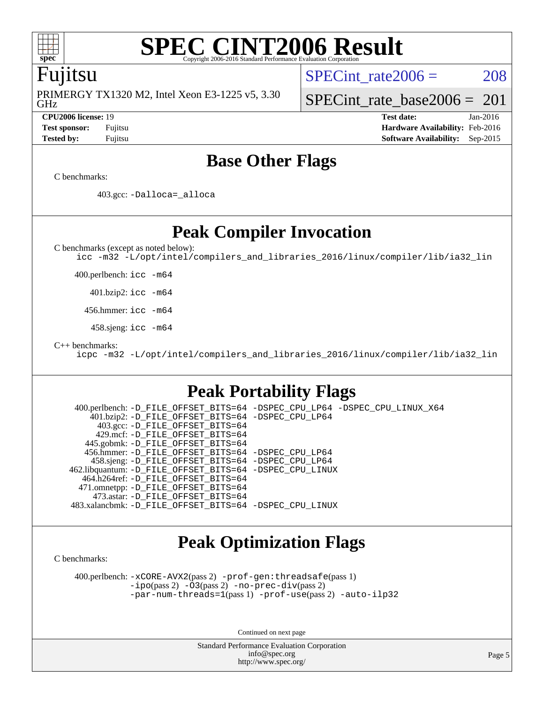

### **[SPEC CINT2006 Result](http://www.spec.org/auto/cpu2006/Docs/result-fields.html#SPECCINT2006Result)** Copyright 2006-2016 Standard Performance Evaluation

### Fujitsu

GHz PRIMERGY TX1320 M2, Intel Xeon E3-1225 v5, 3.30 SPECint rate $2006 = 208$ 

[SPECint\\_rate\\_base2006 =](http://www.spec.org/auto/cpu2006/Docs/result-fields.html#SPECintratebase2006)  $201$ 

**[CPU2006 license:](http://www.spec.org/auto/cpu2006/Docs/result-fields.html#CPU2006license)** 19 **[Test date:](http://www.spec.org/auto/cpu2006/Docs/result-fields.html#Testdate)** Jan-2016 **[Test sponsor:](http://www.spec.org/auto/cpu2006/Docs/result-fields.html#Testsponsor)** Fujitsu **[Hardware Availability:](http://www.spec.org/auto/cpu2006/Docs/result-fields.html#HardwareAvailability)** Feb-2016 **[Tested by:](http://www.spec.org/auto/cpu2006/Docs/result-fields.html#Testedby)** Fujitsu **[Software Availability:](http://www.spec.org/auto/cpu2006/Docs/result-fields.html#SoftwareAvailability)** Sep-2015

### **[Base Other Flags](http://www.spec.org/auto/cpu2006/Docs/result-fields.html#BaseOtherFlags)**

[C benchmarks](http://www.spec.org/auto/cpu2006/Docs/result-fields.html#Cbenchmarks):

403.gcc: [-Dalloca=\\_alloca](http://www.spec.org/cpu2006/results/res2016q1/cpu2006-20160125-38910.flags.html#b403.gcc_baseEXTRA_CFLAGS_Dalloca_be3056838c12de2578596ca5467af7f3)

**[Peak Compiler Invocation](http://www.spec.org/auto/cpu2006/Docs/result-fields.html#PeakCompilerInvocation)**

[C benchmarks \(except as noted below\)](http://www.spec.org/auto/cpu2006/Docs/result-fields.html#Cbenchmarksexceptasnotedbelow):

[icc -m32 -L/opt/intel/compilers\\_and\\_libraries\\_2016/linux/compiler/lib/ia32\\_lin](http://www.spec.org/cpu2006/results/res2016q1/cpu2006-20160125-38910.flags.html#user_CCpeak_intel_icc_e10256ba5924b668798078a321b0cb3f)

400.perlbench: [icc -m64](http://www.spec.org/cpu2006/results/res2016q1/cpu2006-20160125-38910.flags.html#user_peakCCLD400_perlbench_intel_icc_64bit_bda6cc9af1fdbb0edc3795bac97ada53)

401.bzip2: [icc -m64](http://www.spec.org/cpu2006/results/res2016q1/cpu2006-20160125-38910.flags.html#user_peakCCLD401_bzip2_intel_icc_64bit_bda6cc9af1fdbb0edc3795bac97ada53)

456.hmmer: [icc -m64](http://www.spec.org/cpu2006/results/res2016q1/cpu2006-20160125-38910.flags.html#user_peakCCLD456_hmmer_intel_icc_64bit_bda6cc9af1fdbb0edc3795bac97ada53)

458.sjeng: [icc -m64](http://www.spec.org/cpu2006/results/res2016q1/cpu2006-20160125-38910.flags.html#user_peakCCLD458_sjeng_intel_icc_64bit_bda6cc9af1fdbb0edc3795bac97ada53)

[C++ benchmarks:](http://www.spec.org/auto/cpu2006/Docs/result-fields.html#CXXbenchmarks)

[icpc -m32 -L/opt/intel/compilers\\_and\\_libraries\\_2016/linux/compiler/lib/ia32\\_lin](http://www.spec.org/cpu2006/results/res2016q1/cpu2006-20160125-38910.flags.html#user_CXXpeak_intel_icpc_b4f50a394bdb4597aa5879c16bc3f5c5)

### **[Peak Portability Flags](http://www.spec.org/auto/cpu2006/Docs/result-fields.html#PeakPortabilityFlags)**

 400.perlbench: [-D\\_FILE\\_OFFSET\\_BITS=64](http://www.spec.org/cpu2006/results/res2016q1/cpu2006-20160125-38910.flags.html#user_peakPORTABILITY400_perlbench_file_offset_bits_64_438cf9856305ebd76870a2c6dc2689ab) [-DSPEC\\_CPU\\_LP64](http://www.spec.org/cpu2006/results/res2016q1/cpu2006-20160125-38910.flags.html#b400.perlbench_peakCPORTABILITY_DSPEC_CPU_LP64) [-DSPEC\\_CPU\\_LINUX\\_X64](http://www.spec.org/cpu2006/results/res2016q1/cpu2006-20160125-38910.flags.html#b400.perlbench_peakCPORTABILITY_DSPEC_CPU_LINUX_X64) 401.bzip2: [-D\\_FILE\\_OFFSET\\_BITS=64](http://www.spec.org/cpu2006/results/res2016q1/cpu2006-20160125-38910.flags.html#user_peakPORTABILITY401_bzip2_file_offset_bits_64_438cf9856305ebd76870a2c6dc2689ab) [-DSPEC\\_CPU\\_LP64](http://www.spec.org/cpu2006/results/res2016q1/cpu2006-20160125-38910.flags.html#suite_peakCPORTABILITY401_bzip2_DSPEC_CPU_LP64) 403.gcc: [-D\\_FILE\\_OFFSET\\_BITS=64](http://www.spec.org/cpu2006/results/res2016q1/cpu2006-20160125-38910.flags.html#user_peakPORTABILITY403_gcc_file_offset_bits_64_438cf9856305ebd76870a2c6dc2689ab) 429.mcf: [-D\\_FILE\\_OFFSET\\_BITS=64](http://www.spec.org/cpu2006/results/res2016q1/cpu2006-20160125-38910.flags.html#user_peakPORTABILITY429_mcf_file_offset_bits_64_438cf9856305ebd76870a2c6dc2689ab) 445.gobmk: [-D\\_FILE\\_OFFSET\\_BITS=64](http://www.spec.org/cpu2006/results/res2016q1/cpu2006-20160125-38910.flags.html#user_peakPORTABILITY445_gobmk_file_offset_bits_64_438cf9856305ebd76870a2c6dc2689ab) 456.hmmer: [-D\\_FILE\\_OFFSET\\_BITS=64](http://www.spec.org/cpu2006/results/res2016q1/cpu2006-20160125-38910.flags.html#user_peakPORTABILITY456_hmmer_file_offset_bits_64_438cf9856305ebd76870a2c6dc2689ab) [-DSPEC\\_CPU\\_LP64](http://www.spec.org/cpu2006/results/res2016q1/cpu2006-20160125-38910.flags.html#suite_peakCPORTABILITY456_hmmer_DSPEC_CPU_LP64) 458.sjeng: [-D\\_FILE\\_OFFSET\\_BITS=64](http://www.spec.org/cpu2006/results/res2016q1/cpu2006-20160125-38910.flags.html#user_peakPORTABILITY458_sjeng_file_offset_bits_64_438cf9856305ebd76870a2c6dc2689ab) [-DSPEC\\_CPU\\_LP64](http://www.spec.org/cpu2006/results/res2016q1/cpu2006-20160125-38910.flags.html#suite_peakCPORTABILITY458_sjeng_DSPEC_CPU_LP64) 462.libquantum: [-D\\_FILE\\_OFFSET\\_BITS=64](http://www.spec.org/cpu2006/results/res2016q1/cpu2006-20160125-38910.flags.html#user_peakPORTABILITY462_libquantum_file_offset_bits_64_438cf9856305ebd76870a2c6dc2689ab) [-DSPEC\\_CPU\\_LINUX](http://www.spec.org/cpu2006/results/res2016q1/cpu2006-20160125-38910.flags.html#b462.libquantum_peakCPORTABILITY_DSPEC_CPU_LINUX) 464.h264ref: [-D\\_FILE\\_OFFSET\\_BITS=64](http://www.spec.org/cpu2006/results/res2016q1/cpu2006-20160125-38910.flags.html#user_peakPORTABILITY464_h264ref_file_offset_bits_64_438cf9856305ebd76870a2c6dc2689ab) 471.omnetpp: [-D\\_FILE\\_OFFSET\\_BITS=64](http://www.spec.org/cpu2006/results/res2016q1/cpu2006-20160125-38910.flags.html#user_peakPORTABILITY471_omnetpp_file_offset_bits_64_438cf9856305ebd76870a2c6dc2689ab) 473.astar: [-D\\_FILE\\_OFFSET\\_BITS=64](http://www.spec.org/cpu2006/results/res2016q1/cpu2006-20160125-38910.flags.html#user_peakPORTABILITY473_astar_file_offset_bits_64_438cf9856305ebd76870a2c6dc2689ab) 483.xalancbmk: [-D\\_FILE\\_OFFSET\\_BITS=64](http://www.spec.org/cpu2006/results/res2016q1/cpu2006-20160125-38910.flags.html#user_peakPORTABILITY483_xalancbmk_file_offset_bits_64_438cf9856305ebd76870a2c6dc2689ab) [-DSPEC\\_CPU\\_LINUX](http://www.spec.org/cpu2006/results/res2016q1/cpu2006-20160125-38910.flags.html#b483.xalancbmk_peakCXXPORTABILITY_DSPEC_CPU_LINUX)

## **[Peak Optimization Flags](http://www.spec.org/auto/cpu2006/Docs/result-fields.html#PeakOptimizationFlags)**

[C benchmarks](http://www.spec.org/auto/cpu2006/Docs/result-fields.html#Cbenchmarks):

 400.perlbench: [-xCORE-AVX2](http://www.spec.org/cpu2006/results/res2016q1/cpu2006-20160125-38910.flags.html#user_peakPASS2_CFLAGSPASS2_LDCFLAGS400_perlbench_f-xAVX2_5f5fc0cbe2c9f62c816d3e45806c70d7)(pass 2) [-prof-gen:threadsafe](http://www.spec.org/cpu2006/results/res2016q1/cpu2006-20160125-38910.flags.html#user_peakPASS1_CFLAGSPASS1_LDCFLAGS400_perlbench_prof_gen_21a26eb79f378b550acd7bec9fe4467a)(pass 1) [-ipo](http://www.spec.org/cpu2006/results/res2016q1/cpu2006-20160125-38910.flags.html#user_peakPASS2_CFLAGSPASS2_LDCFLAGS400_perlbench_f-ipo)(pass 2) [-O3](http://www.spec.org/cpu2006/results/res2016q1/cpu2006-20160125-38910.flags.html#user_peakPASS2_CFLAGSPASS2_LDCFLAGS400_perlbench_f-O3)(pass 2) [-no-prec-div](http://www.spec.org/cpu2006/results/res2016q1/cpu2006-20160125-38910.flags.html#user_peakPASS2_CFLAGSPASS2_LDCFLAGS400_perlbench_f-no-prec-div)(pass 2) [-par-num-threads=1](http://www.spec.org/cpu2006/results/res2016q1/cpu2006-20160125-38910.flags.html#user_peakPASS1_CFLAGSPASS1_LDCFLAGS400_perlbench_par_num_threads_786a6ff141b4e9e90432e998842df6c2)(pass 1) [-prof-use](http://www.spec.org/cpu2006/results/res2016q1/cpu2006-20160125-38910.flags.html#user_peakPASS2_CFLAGSPASS2_LDCFLAGS400_perlbench_prof_use_bccf7792157ff70d64e32fe3e1250b55)(pass 2) [-auto-ilp32](http://www.spec.org/cpu2006/results/res2016q1/cpu2006-20160125-38910.flags.html#user_peakCOPTIMIZE400_perlbench_f-auto-ilp32)

Continued on next page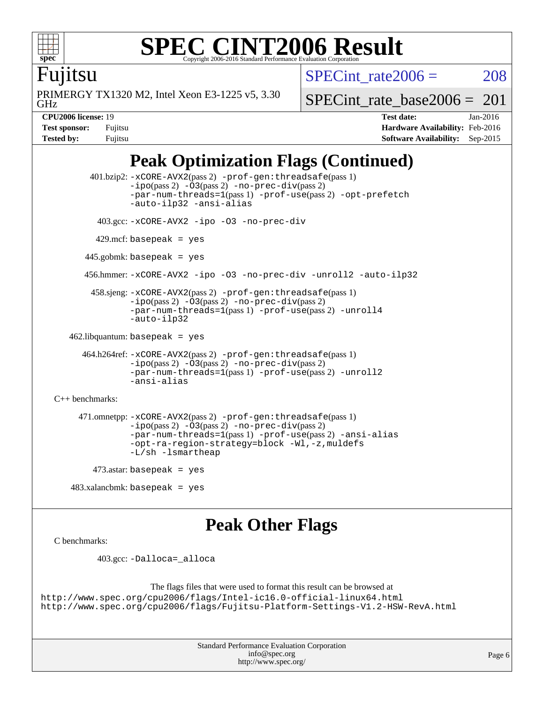

### **[SPEC CINT2006 Result](http://www.spec.org/auto/cpu2006/Docs/result-fields.html#SPECCINT2006Result)** Copyright 2006-2016 Standard Performance Evaluation C

SPECint rate $2006 = 208$ 

Fujitsu

GHz PRIMERGY TX1320 M2, Intel Xeon E3-1225 v5, 3.30 [SPECint\\_rate\\_base2006 =](http://www.spec.org/auto/cpu2006/Docs/result-fields.html#SPECintratebase2006)  $201$ 

**[CPU2006 license:](http://www.spec.org/auto/cpu2006/Docs/result-fields.html#CPU2006license)** 19 **[Test date:](http://www.spec.org/auto/cpu2006/Docs/result-fields.html#Testdate)** Jan-2016 **[Test sponsor:](http://www.spec.org/auto/cpu2006/Docs/result-fields.html#Testsponsor)** Fujitsu **[Hardware Availability:](http://www.spec.org/auto/cpu2006/Docs/result-fields.html#HardwareAvailability)** Feb-2016 **[Tested by:](http://www.spec.org/auto/cpu2006/Docs/result-fields.html#Testedby)** Fujitsu **[Software Availability:](http://www.spec.org/auto/cpu2006/Docs/result-fields.html#SoftwareAvailability)** Sep-2015

## **[Peak Optimization Flags \(Continued\)](http://www.spec.org/auto/cpu2006/Docs/result-fields.html#PeakOptimizationFlags)**

 401.bzip2: [-xCORE-AVX2](http://www.spec.org/cpu2006/results/res2016q1/cpu2006-20160125-38910.flags.html#user_peakPASS2_CFLAGSPASS2_LDCFLAGS401_bzip2_f-xAVX2_5f5fc0cbe2c9f62c816d3e45806c70d7)(pass 2) [-prof-gen:threadsafe](http://www.spec.org/cpu2006/results/res2016q1/cpu2006-20160125-38910.flags.html#user_peakPASS1_CFLAGSPASS1_LDCFLAGS401_bzip2_prof_gen_21a26eb79f378b550acd7bec9fe4467a)(pass 1)  $-i\text{po}(pass 2) -03(pass 2) -no-prec-div(pass 2)$  $-i\text{po}(pass 2) -03(pass 2) -no-prec-div(pass 2)$  $-i\text{po}(pass 2) -03(pass 2) -no-prec-div(pass 2)$ [-par-num-threads=1](http://www.spec.org/cpu2006/results/res2016q1/cpu2006-20160125-38910.flags.html#user_peakPASS1_CFLAGSPASS1_LDCFLAGS401_bzip2_par_num_threads_786a6ff141b4e9e90432e998842df6c2)(pass 1) [-prof-use](http://www.spec.org/cpu2006/results/res2016q1/cpu2006-20160125-38910.flags.html#user_peakPASS2_CFLAGSPASS2_LDCFLAGS401_bzip2_prof_use_bccf7792157ff70d64e32fe3e1250b55)(pass 2) [-opt-prefetch](http://www.spec.org/cpu2006/results/res2016q1/cpu2006-20160125-38910.flags.html#user_peakCOPTIMIZE401_bzip2_f-opt-prefetch) [-auto-ilp32](http://www.spec.org/cpu2006/results/res2016q1/cpu2006-20160125-38910.flags.html#user_peakCOPTIMIZE401_bzip2_f-auto-ilp32) [-ansi-alias](http://www.spec.org/cpu2006/results/res2016q1/cpu2006-20160125-38910.flags.html#user_peakCOPTIMIZE401_bzip2_f-ansi-alias) 403.gcc: [-xCORE-AVX2](http://www.spec.org/cpu2006/results/res2016q1/cpu2006-20160125-38910.flags.html#user_peakCOPTIMIZE403_gcc_f-xAVX2_5f5fc0cbe2c9f62c816d3e45806c70d7) [-ipo](http://www.spec.org/cpu2006/results/res2016q1/cpu2006-20160125-38910.flags.html#user_peakCOPTIMIZE403_gcc_f-ipo) [-O3](http://www.spec.org/cpu2006/results/res2016q1/cpu2006-20160125-38910.flags.html#user_peakCOPTIMIZE403_gcc_f-O3) [-no-prec-div](http://www.spec.org/cpu2006/results/res2016q1/cpu2006-20160125-38910.flags.html#user_peakCOPTIMIZE403_gcc_f-no-prec-div)  $429$ .mcf: basepeak = yes 445.gobmk: basepeak = yes 456.hmmer: [-xCORE-AVX2](http://www.spec.org/cpu2006/results/res2016q1/cpu2006-20160125-38910.flags.html#user_peakCOPTIMIZE456_hmmer_f-xAVX2_5f5fc0cbe2c9f62c816d3e45806c70d7) [-ipo](http://www.spec.org/cpu2006/results/res2016q1/cpu2006-20160125-38910.flags.html#user_peakCOPTIMIZE456_hmmer_f-ipo) [-O3](http://www.spec.org/cpu2006/results/res2016q1/cpu2006-20160125-38910.flags.html#user_peakCOPTIMIZE456_hmmer_f-O3) [-no-prec-div](http://www.spec.org/cpu2006/results/res2016q1/cpu2006-20160125-38910.flags.html#user_peakCOPTIMIZE456_hmmer_f-no-prec-div) [-unroll2](http://www.spec.org/cpu2006/results/res2016q1/cpu2006-20160125-38910.flags.html#user_peakCOPTIMIZE456_hmmer_f-unroll_784dae83bebfb236979b41d2422d7ec2) [-auto-ilp32](http://www.spec.org/cpu2006/results/res2016q1/cpu2006-20160125-38910.flags.html#user_peakCOPTIMIZE456_hmmer_f-auto-ilp32) 458.sjeng: [-xCORE-AVX2](http://www.spec.org/cpu2006/results/res2016q1/cpu2006-20160125-38910.flags.html#user_peakPASS2_CFLAGSPASS2_LDCFLAGS458_sjeng_f-xAVX2_5f5fc0cbe2c9f62c816d3e45806c70d7)(pass 2) [-prof-gen:threadsafe](http://www.spec.org/cpu2006/results/res2016q1/cpu2006-20160125-38910.flags.html#user_peakPASS1_CFLAGSPASS1_LDCFLAGS458_sjeng_prof_gen_21a26eb79f378b550acd7bec9fe4467a)(pass 1) [-ipo](http://www.spec.org/cpu2006/results/res2016q1/cpu2006-20160125-38910.flags.html#user_peakPASS2_CFLAGSPASS2_LDCFLAGS458_sjeng_f-ipo)(pass 2) [-O3](http://www.spec.org/cpu2006/results/res2016q1/cpu2006-20160125-38910.flags.html#user_peakPASS2_CFLAGSPASS2_LDCFLAGS458_sjeng_f-O3)(pass 2) [-no-prec-div](http://www.spec.org/cpu2006/results/res2016q1/cpu2006-20160125-38910.flags.html#user_peakPASS2_CFLAGSPASS2_LDCFLAGS458_sjeng_f-no-prec-div)(pass 2) [-par-num-threads=1](http://www.spec.org/cpu2006/results/res2016q1/cpu2006-20160125-38910.flags.html#user_peakPASS1_CFLAGSPASS1_LDCFLAGS458_sjeng_par_num_threads_786a6ff141b4e9e90432e998842df6c2)(pass 1) [-prof-use](http://www.spec.org/cpu2006/results/res2016q1/cpu2006-20160125-38910.flags.html#user_peakPASS2_CFLAGSPASS2_LDCFLAGS458_sjeng_prof_use_bccf7792157ff70d64e32fe3e1250b55)(pass 2) [-unroll4](http://www.spec.org/cpu2006/results/res2016q1/cpu2006-20160125-38910.flags.html#user_peakCOPTIMIZE458_sjeng_f-unroll_4e5e4ed65b7fd20bdcd365bec371b81f) [-auto-ilp32](http://www.spec.org/cpu2006/results/res2016q1/cpu2006-20160125-38910.flags.html#user_peakCOPTIMIZE458_sjeng_f-auto-ilp32)  $462$ .libquantum: basepeak = yes 464.h264ref: [-xCORE-AVX2](http://www.spec.org/cpu2006/results/res2016q1/cpu2006-20160125-38910.flags.html#user_peakPASS2_CFLAGSPASS2_LDCFLAGS464_h264ref_f-xAVX2_5f5fc0cbe2c9f62c816d3e45806c70d7)(pass 2) [-prof-gen:threadsafe](http://www.spec.org/cpu2006/results/res2016q1/cpu2006-20160125-38910.flags.html#user_peakPASS1_CFLAGSPASS1_LDCFLAGS464_h264ref_prof_gen_21a26eb79f378b550acd7bec9fe4467a)(pass 1)  $-i\text{po}(pass 2) -03(pass 2) -no-prec-div(pass 2)$  $-i\text{po}(pass 2) -03(pass 2) -no-prec-div(pass 2)$  $-i\text{po}(pass 2) -03(pass 2) -no-prec-div(pass 2)$ [-par-num-threads=1](http://www.spec.org/cpu2006/results/res2016q1/cpu2006-20160125-38910.flags.html#user_peakPASS1_CFLAGSPASS1_LDCFLAGS464_h264ref_par_num_threads_786a6ff141b4e9e90432e998842df6c2)(pass 1) [-prof-use](http://www.spec.org/cpu2006/results/res2016q1/cpu2006-20160125-38910.flags.html#user_peakPASS2_CFLAGSPASS2_LDCFLAGS464_h264ref_prof_use_bccf7792157ff70d64e32fe3e1250b55)(pass 2) [-unroll2](http://www.spec.org/cpu2006/results/res2016q1/cpu2006-20160125-38910.flags.html#user_peakCOPTIMIZE464_h264ref_f-unroll_784dae83bebfb236979b41d2422d7ec2) [-ansi-alias](http://www.spec.org/cpu2006/results/res2016q1/cpu2006-20160125-38910.flags.html#user_peakCOPTIMIZE464_h264ref_f-ansi-alias) [C++ benchmarks:](http://www.spec.org/auto/cpu2006/Docs/result-fields.html#CXXbenchmarks) 471.omnetpp: [-xCORE-AVX2](http://www.spec.org/cpu2006/results/res2016q1/cpu2006-20160125-38910.flags.html#user_peakPASS2_CXXFLAGSPASS2_LDCXXFLAGS471_omnetpp_f-xAVX2_5f5fc0cbe2c9f62c816d3e45806c70d7)(pass 2) [-prof-gen:threadsafe](http://www.spec.org/cpu2006/results/res2016q1/cpu2006-20160125-38910.flags.html#user_peakPASS1_CXXFLAGSPASS1_LDCXXFLAGS471_omnetpp_prof_gen_21a26eb79f378b550acd7bec9fe4467a)(pass 1)  $-i\text{po}(pass 2) -03(pass 2) -no-prec-div(pass 2)$  $-i\text{po}(pass 2) -03(pass 2) -no-prec-div(pass 2)$  $-i\text{po}(pass 2) -03(pass 2) -no-prec-div(pass 2)$ [-par-num-threads=1](http://www.spec.org/cpu2006/results/res2016q1/cpu2006-20160125-38910.flags.html#user_peakPASS1_CXXFLAGSPASS1_LDCXXFLAGS471_omnetpp_par_num_threads_786a6ff141b4e9e90432e998842df6c2)(pass 1) [-prof-use](http://www.spec.org/cpu2006/results/res2016q1/cpu2006-20160125-38910.flags.html#user_peakPASS2_CXXFLAGSPASS2_LDCXXFLAGS471_omnetpp_prof_use_bccf7792157ff70d64e32fe3e1250b55)(pass 2) [-ansi-alias](http://www.spec.org/cpu2006/results/res2016q1/cpu2006-20160125-38910.flags.html#user_peakCXXOPTIMIZE471_omnetpp_f-ansi-alias) [-opt-ra-region-strategy=block](http://www.spec.org/cpu2006/results/res2016q1/cpu2006-20160125-38910.flags.html#user_peakCXXOPTIMIZE471_omnetpp_f-opt-ra-region-strategy_a0a37c372d03933b2a18d4af463c1f69) [-Wl,-z,muldefs](http://www.spec.org/cpu2006/results/res2016q1/cpu2006-20160125-38910.flags.html#user_peakEXTRA_LDFLAGS471_omnetpp_link_force_multiple1_74079c344b956b9658436fd1b6dd3a8a) [-L/sh -lsmartheap](http://www.spec.org/cpu2006/results/res2016q1/cpu2006-20160125-38910.flags.html#user_peakEXTRA_LIBS471_omnetpp_SmartHeap_32f6c82aa1ed9c52345d30cf6e4a0499)  $473$ .astar: basepeak = yes

483.xalancbmk: basepeak = yes

### **[Peak Other Flags](http://www.spec.org/auto/cpu2006/Docs/result-fields.html#PeakOtherFlags)**

[C benchmarks](http://www.spec.org/auto/cpu2006/Docs/result-fields.html#Cbenchmarks):

403.gcc: [-Dalloca=\\_alloca](http://www.spec.org/cpu2006/results/res2016q1/cpu2006-20160125-38910.flags.html#b403.gcc_peakEXTRA_CFLAGS_Dalloca_be3056838c12de2578596ca5467af7f3)

The flags files that were used to format this result can be browsed at <http://www.spec.org/cpu2006/flags/Intel-ic16.0-official-linux64.html> <http://www.spec.org/cpu2006/flags/Fujitsu-Platform-Settings-V1.2-HSW-RevA.html>

> Standard Performance Evaluation Corporation [info@spec.org](mailto:info@spec.org) <http://www.spec.org/>

Page 6